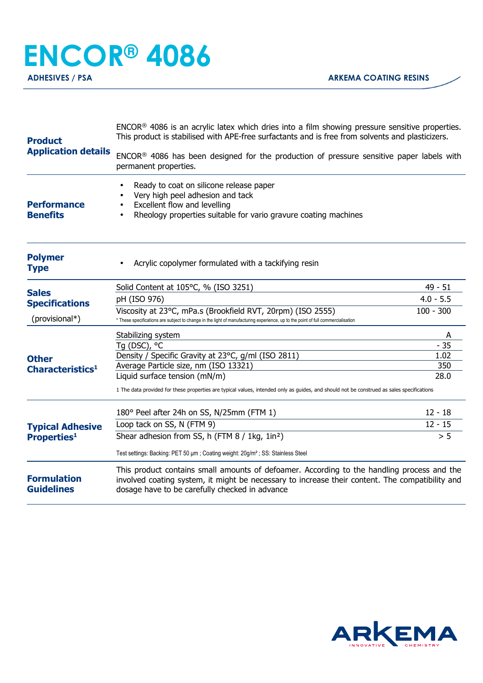## **ENCOR® 4086**

**ADHESIVES / PSA ARKEMA COATING RESINS** 

| <b>Product</b><br><b>Application details</b>            | ENCOR <sup>®</sup> 4086 is an acrylic latex which dries into a film showing pressure sensitive properties.<br>This product is stabilised with APE-free surfactants and is free from solvents and plasticizers.                                  |             |  |
|---------------------------------------------------------|-------------------------------------------------------------------------------------------------------------------------------------------------------------------------------------------------------------------------------------------------|-------------|--|
|                                                         | ENCOR® 4086 has been designed for the production of pressure sensitive paper labels with<br>permanent properties.                                                                                                                               |             |  |
| <b>Performance</b><br><b>Benefits</b>                   | Ready to coat on silicone release paper<br>Very high peel adhesion and tack<br>Excellent flow and levelling<br>Rheology properties suitable for vario gravure coating machines                                                                  |             |  |
| <b>Polymer</b><br><b>Type</b>                           | Acrylic copolymer formulated with a tackifying resin                                                                                                                                                                                            |             |  |
| <b>Sales</b><br><b>Specifications</b><br>(provisional*) | Solid Content at 105°C, % (ISO 3251)                                                                                                                                                                                                            | $49 - 51$   |  |
|                                                         | pH (ISO 976)                                                                                                                                                                                                                                    | $4.0 - 5.5$ |  |
|                                                         | Viscosity at 23°C, mPa.s (Brookfield RVT, 20rpm) (ISO 2555)<br>* These specifications are subject to change in the light of manufacturing experience, up to the point of full commercialisation                                                 | $100 - 300$ |  |
| <b>Other</b><br>Characteristics <sup>1</sup>            | Stabilizing system                                                                                                                                                                                                                              | A           |  |
|                                                         | Tg (DSC), °C                                                                                                                                                                                                                                    | $-35$       |  |
|                                                         | Density / Specific Gravity at 23°C, g/ml (ISO 2811)                                                                                                                                                                                             | 1.02        |  |
|                                                         | Average Particle size, nm (ISO 13321)                                                                                                                                                                                                           | 350         |  |
|                                                         | Liquid surface tension (mN/m)<br>28.0<br>1 The data provided for these properties are typical values, intended only as guides, and should not be construed as sales specifications                                                              |             |  |
| <b>Typical Adhesive</b><br><b>Properties1</b>           | 180° Peel after 24h on SS, N/25mm (FTM 1)                                                                                                                                                                                                       | $12 - 18$   |  |
|                                                         | Loop tack on SS, N (FTM 9)                                                                                                                                                                                                                      | $12 - 15$   |  |
|                                                         | Shear adhesion from SS, h (FTM 8 / 1kg, 1in <sup>2</sup> )                                                                                                                                                                                      | > 5         |  |
|                                                         | Test settings: Backing: PET 50 µm; Coating weight: 20g/m <sup>2</sup> ; SS: Stainless Steel                                                                                                                                                     |             |  |
| <b>Formulation</b><br><b>Guidelines</b>                 | This product contains small amounts of defoamer. According to the handling process and the<br>involved coating system, it might be necessary to increase their content. The compatibility and<br>dosage have to be carefully checked in advance |             |  |